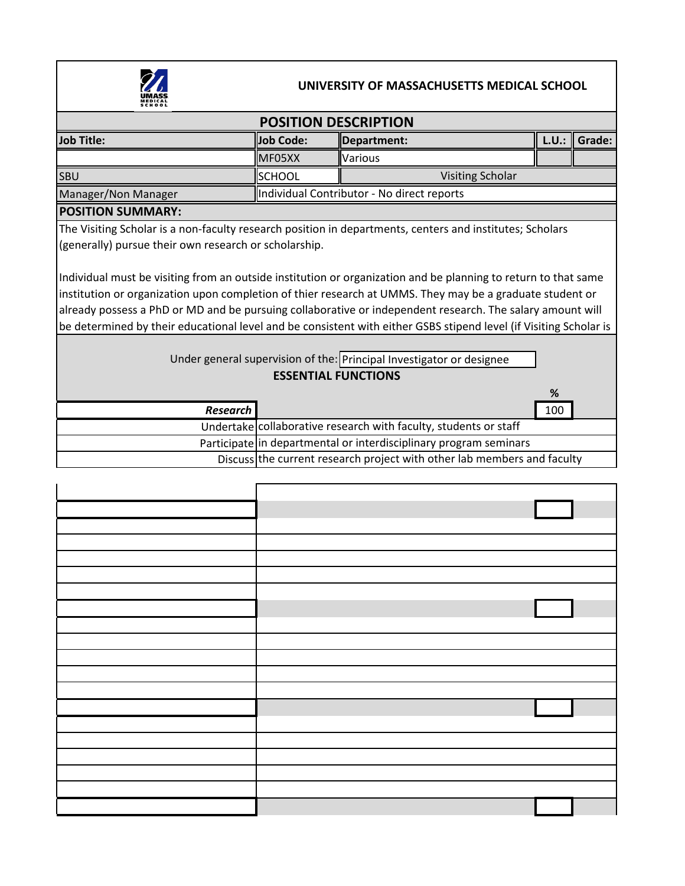

## **UNIVERSITY OF MASSACHUSETTS MEDICAL SCHOOL**

| <b>POSITION DESCRIPTION</b>                                                                                                                                                                                                                                                                                                                                                                                                                                                                                                                                                                                                       |                  |                                                                         |       |        |  |  |
|-----------------------------------------------------------------------------------------------------------------------------------------------------------------------------------------------------------------------------------------------------------------------------------------------------------------------------------------------------------------------------------------------------------------------------------------------------------------------------------------------------------------------------------------------------------------------------------------------------------------------------------|------------------|-------------------------------------------------------------------------|-------|--------|--|--|
| Job Title:                                                                                                                                                                                                                                                                                                                                                                                                                                                                                                                                                                                                                        | <b>Job Code:</b> | Department:                                                             | L.U.: | Grade: |  |  |
|                                                                                                                                                                                                                                                                                                                                                                                                                                                                                                                                                                                                                                   | MF05XX           | Various                                                                 |       |        |  |  |
| <b>SBU</b>                                                                                                                                                                                                                                                                                                                                                                                                                                                                                                                                                                                                                        | <b>SCHOOL</b>    | <b>Visiting Scholar</b>                                                 |       |        |  |  |
| Manager/Non Manager                                                                                                                                                                                                                                                                                                                                                                                                                                                                                                                                                                                                               |                  | Individual Contributor - No direct reports                              |       |        |  |  |
| <b>POSITION SUMMARY:</b>                                                                                                                                                                                                                                                                                                                                                                                                                                                                                                                                                                                                          |                  |                                                                         |       |        |  |  |
| The Visiting Scholar is a non-faculty research position in departments, centers and institutes; Scholars<br>(generally) pursue their own research or scholarship.<br>Individual must be visiting from an outside institution or organization and be planning to return to that same<br>institution or organization upon completion of thier research at UMMS. They may be a graduate student or<br>already possess a PhD or MD and be pursuing collaborative or independent research. The salary amount will<br>be determined by their educational level and be consistent with either GSBS stipend level (if Visiting Scholar is |                  |                                                                         |       |        |  |  |
| Under general supervision of the: Principal Investigator or designee<br><b>ESSENTIAL FUNCTIONS</b><br>%                                                                                                                                                                                                                                                                                                                                                                                                                                                                                                                           |                  |                                                                         |       |        |  |  |
| <b>Research</b>                                                                                                                                                                                                                                                                                                                                                                                                                                                                                                                                                                                                                   |                  |                                                                         | 100   |        |  |  |
|                                                                                                                                                                                                                                                                                                                                                                                                                                                                                                                                                                                                                                   |                  | Undertake collaborative research with faculty, students or staff        |       |        |  |  |
|                                                                                                                                                                                                                                                                                                                                                                                                                                                                                                                                                                                                                                   |                  | Participate in departmental or interdisciplinary program seminars       |       |        |  |  |
|                                                                                                                                                                                                                                                                                                                                                                                                                                                                                                                                                                                                                                   |                  | Discuss the current research project with other lab members and faculty |       |        |  |  |

| $\Box$ |
|--------|
|        |
|        |
|        |
|        |
|        |
| $\Box$ |
|        |
|        |
|        |
|        |
|        |
|        |
|        |
|        |
|        |
|        |
|        |
|        |
|        |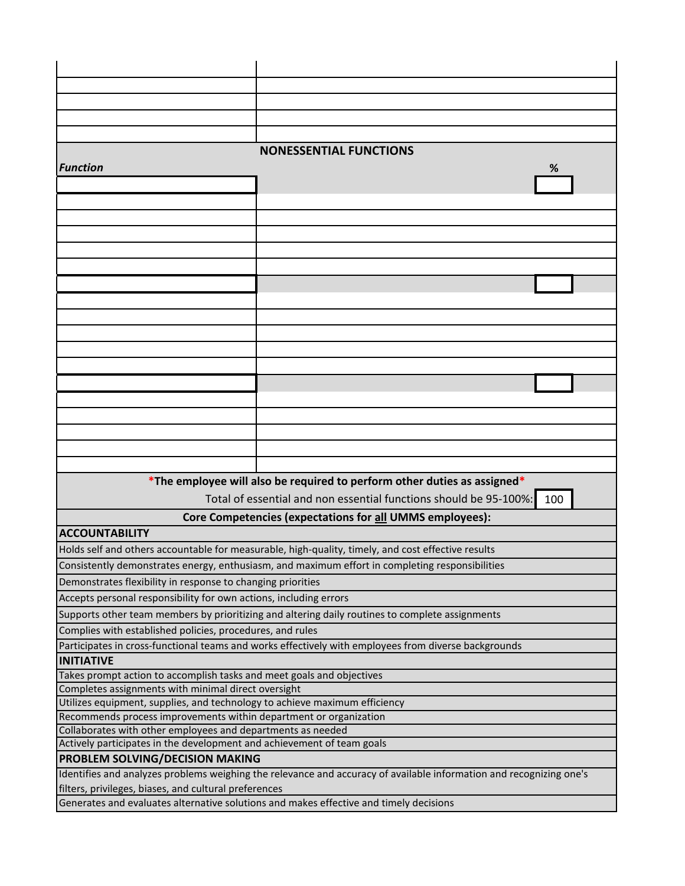|                                                                                                                                                 | <b>NONESSENTIAL FUNCTIONS</b>                                                                        |  |  |  |  |
|-------------------------------------------------------------------------------------------------------------------------------------------------|------------------------------------------------------------------------------------------------------|--|--|--|--|
|                                                                                                                                                 |                                                                                                      |  |  |  |  |
| <b>Function</b>                                                                                                                                 | %                                                                                                    |  |  |  |  |
|                                                                                                                                                 |                                                                                                      |  |  |  |  |
|                                                                                                                                                 |                                                                                                      |  |  |  |  |
|                                                                                                                                                 |                                                                                                      |  |  |  |  |
|                                                                                                                                                 |                                                                                                      |  |  |  |  |
|                                                                                                                                                 |                                                                                                      |  |  |  |  |
|                                                                                                                                                 |                                                                                                      |  |  |  |  |
|                                                                                                                                                 |                                                                                                      |  |  |  |  |
|                                                                                                                                                 |                                                                                                      |  |  |  |  |
|                                                                                                                                                 |                                                                                                      |  |  |  |  |
|                                                                                                                                                 |                                                                                                      |  |  |  |  |
|                                                                                                                                                 |                                                                                                      |  |  |  |  |
|                                                                                                                                                 |                                                                                                      |  |  |  |  |
|                                                                                                                                                 |                                                                                                      |  |  |  |  |
|                                                                                                                                                 |                                                                                                      |  |  |  |  |
|                                                                                                                                                 |                                                                                                      |  |  |  |  |
|                                                                                                                                                 |                                                                                                      |  |  |  |  |
|                                                                                                                                                 |                                                                                                      |  |  |  |  |
|                                                                                                                                                 |                                                                                                      |  |  |  |  |
|                                                                                                                                                 |                                                                                                      |  |  |  |  |
|                                                                                                                                                 | *The employee will also be required to perform other duties as assigned*                             |  |  |  |  |
|                                                                                                                                                 | Total of essential and non essential functions should be 95-100%:<br>100                             |  |  |  |  |
|                                                                                                                                                 |                                                                                                      |  |  |  |  |
|                                                                                                                                                 | Core Competencies (expectations for all UMMS employees):                                             |  |  |  |  |
| <b>ACCOUNTABILITY</b>                                                                                                                           |                                                                                                      |  |  |  |  |
|                                                                                                                                                 | Holds self and others accountable for measurable, high-quality, timely, and cost effective results   |  |  |  |  |
|                                                                                                                                                 | Consistently demonstrates energy, enthusiasm, and maximum effort in completing responsibilities      |  |  |  |  |
| Demonstrates flexibility in response to changing priorities                                                                                     |                                                                                                      |  |  |  |  |
| Accepts personal responsibility for own actions, including errors                                                                               |                                                                                                      |  |  |  |  |
|                                                                                                                                                 | Supports other team members by prioritizing and altering daily routines to complete assignments      |  |  |  |  |
| Complies with established policies, procedures, and rules                                                                                       |                                                                                                      |  |  |  |  |
|                                                                                                                                                 | Participates in cross-functional teams and works effectively with employees from diverse backgrounds |  |  |  |  |
| <b>INITIATIVE</b>                                                                                                                               |                                                                                                      |  |  |  |  |
| Takes prompt action to accomplish tasks and meet goals and objectives                                                                           |                                                                                                      |  |  |  |  |
| Completes assignments with minimal direct oversight                                                                                             |                                                                                                      |  |  |  |  |
| Utilizes equipment, supplies, and technology to achieve maximum efficiency                                                                      |                                                                                                      |  |  |  |  |
| Recommends process improvements within department or organization                                                                               |                                                                                                      |  |  |  |  |
| Collaborates with other employees and departments as needed                                                                                     |                                                                                                      |  |  |  |  |
| Actively participates in the development and achievement of team goals                                                                          |                                                                                                      |  |  |  |  |
| <b>PROBLEM SOLVING/DECISION MAKING</b>                                                                                                          |                                                                                                      |  |  |  |  |
| Identifies and analyzes problems weighing the relevance and accuracy of available information and recognizing one's                             |                                                                                                      |  |  |  |  |
| filters, privileges, biases, and cultural preferences<br>Generates and evaluates alternative solutions and makes effective and timely decisions |                                                                                                      |  |  |  |  |
|                                                                                                                                                 |                                                                                                      |  |  |  |  |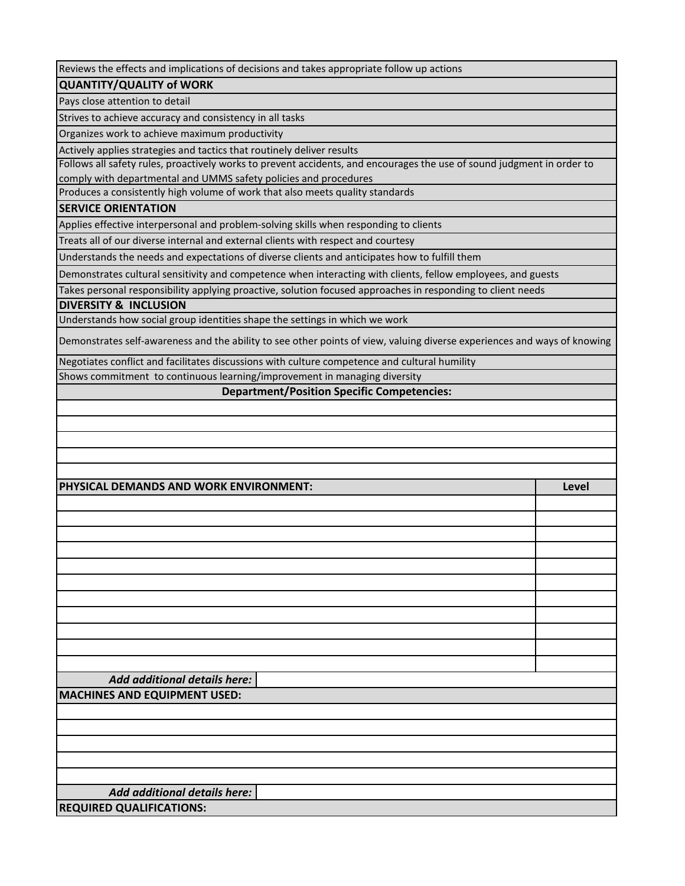Reviews the effects and implications of decisions and takes appropriate follow up actions

**QUANTITY/QUALITY of WORK**

Pays close attention to detail

Strives to achieve accuracy and consistency in all tasks

Organizes work to achieve maximum productivity

Actively applies strategies and tactics that routinely deliver results

Follows all safety rules, proactively works to prevent accidents, and encourages the use of sound judgment in order to comply with departmental and UMMS safety policies and procedures

Produces a consistently high volume of work that also meets quality standards

**SERVICE ORIENTATION**

Applies effective interpersonal and problem-solving skills when responding to clients

Treats all of our diverse internal and external clients with respect and courtesy

Understands the needs and expectations of diverse clients and anticipates how to fulfill them

Demonstrates cultural sensitivity and competence when interacting with clients, fellow employees, and guests

Takes personal responsibility applying proactive, solution focused approaches in responding to client needs

## **DIVERSITY & INCLUSION**

Understands how social group identities shape the settings in which we work

Demonstrates self-awareness and the ability to see other points of view, valuing diverse experiences and ways of knowing

Negotiates conflict and facilitates discussions with culture competence and cultural humility

Shows commitment to continuous learning/improvement in managing diversity

**Department/Position Specific Competencies:**

**PHYSICAL DEMANDS AND WORK ENVIRONMENT: Level**

*Add additional details here:*

**MACHINES AND EQUIPMENT USED:**

*Add additional details here:*

**REQUIRED QUALIFICATIONS:**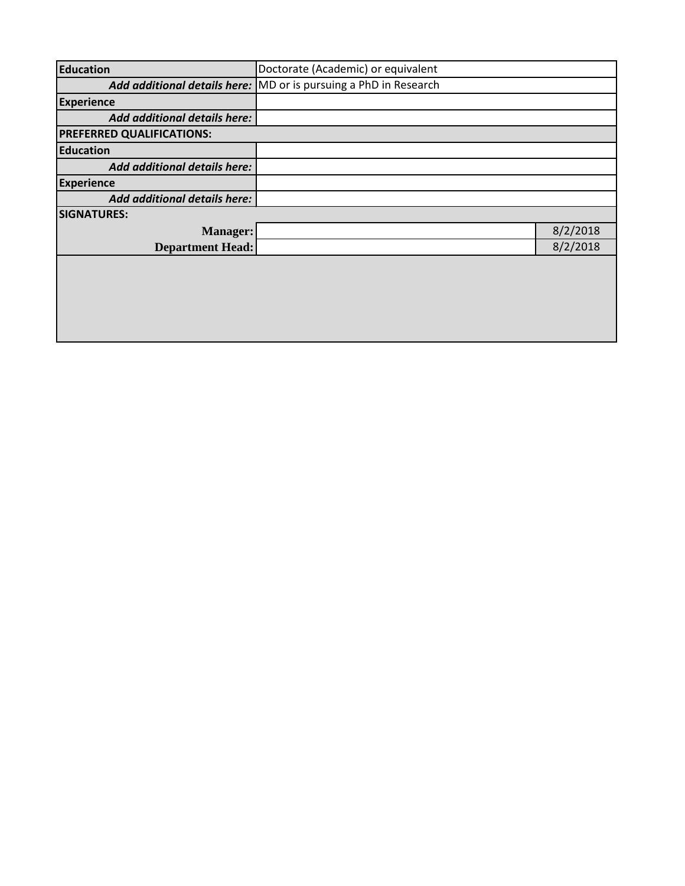| <b>Education</b>                 | Doctorate (Academic) or equivalent                               |          |  |  |  |
|----------------------------------|------------------------------------------------------------------|----------|--|--|--|
|                                  | Add additional details here: MD or is pursuing a PhD in Research |          |  |  |  |
| <b>Experience</b>                |                                                                  |          |  |  |  |
| Add additional details here:     |                                                                  |          |  |  |  |
| <b>PREFERRED QUALIFICATIONS:</b> |                                                                  |          |  |  |  |
| <b>Education</b>                 |                                                                  |          |  |  |  |
| Add additional details here:     |                                                                  |          |  |  |  |
| <b>Experience</b>                |                                                                  |          |  |  |  |
| Add additional details here:     |                                                                  |          |  |  |  |
| <b>SIGNATURES:</b>               |                                                                  |          |  |  |  |
| Manager:                         |                                                                  | 8/2/2018 |  |  |  |
| <b>Department Head:</b>          |                                                                  | 8/2/2018 |  |  |  |
|                                  |                                                                  |          |  |  |  |
|                                  |                                                                  |          |  |  |  |
|                                  |                                                                  |          |  |  |  |
|                                  |                                                                  |          |  |  |  |
|                                  |                                                                  |          |  |  |  |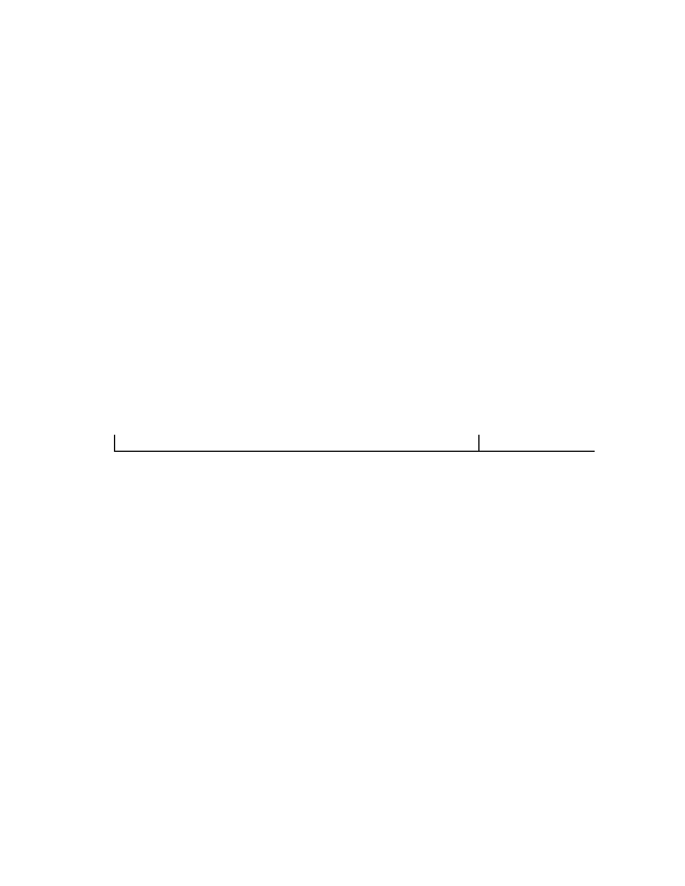$\mathcal{L}^{\text{max}}$  .